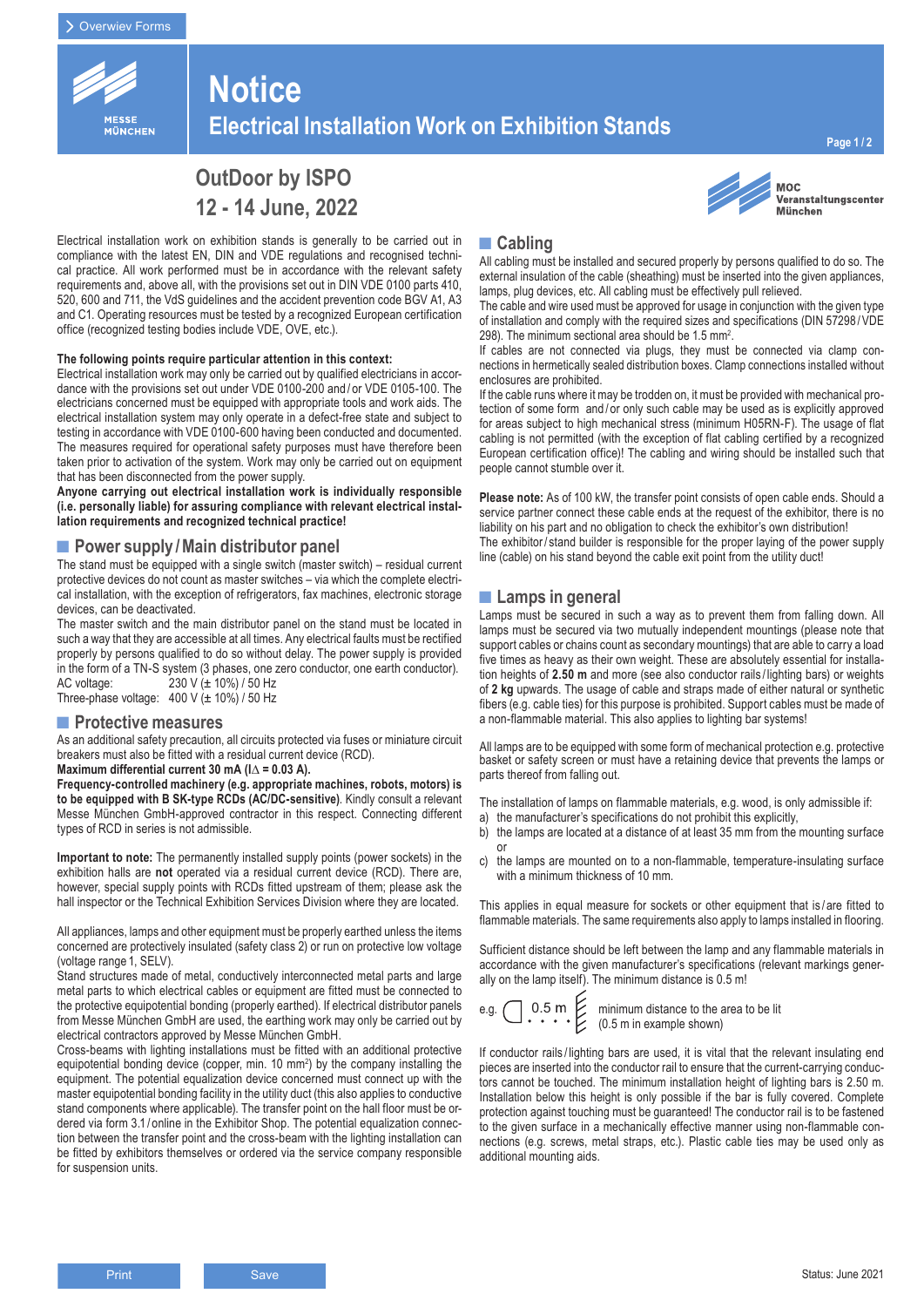

# **Notice Electrical Installation Work on Exhibition Stands**

Veranstaltungscenter

**MOC** 

**München** 

# **OutDoor by ISPO 12 - 14 June, 2022**

Electrical installation work on exhibition stands is generally to be carried out in compliance with the latest EN, DIN and VDE regulations and recognised technical practice. All work performed must be in accordance with the relevant safety requirements and, above all, with the provisions set out in DIN VDE 0100 parts 410, 520, 600 and 711, the VdS guidelines and the accident prevention code BGV A1, A3 and C1. Operating resources must be tested by a recognized European certification office (recognized testing bodies include VDE, OVE, etc.).

#### **The following points require particular attention in this context:**

Electrical installation work may only be carried out by qualified electricians in accordance with the provisions set out under VDE 0100-200 and / or VDE 0105-100. The electricians concerned must be equipped with appropriate tools and work aids. The electrical installation system may only operate in a defect-free state and subject to testing in accordance with VDE 0100-600 having been conducted and documented. The measures required for operational safety purposes must have therefore been taken prior to activation of the system. Work may only be carried out on equipment that has been disconnected from the power supply.

**Anyone carrying out electrical installation work is individually responsible (i.e. personally liable) for assuring compliance with relevant electrical installation requirements and recognized technical practice!**

## **■Power supply /Main distributor panel**

The stand must be equipped with a single switch (master switch) – residual current protective devices do not count as master switches – via which the complete electrical installation, with the exception of refrigerators, fax machines, electronic storage devices, can be deactivated.

The master switch and the main distributor panel on the stand must be located in such a way that they are accessible at all times. Any electrical faults must be rectified properly by persons qualified to do so without delay. The power supply is provided in the form of a TN-S system (3 phases, one zero conductor, one earth conductor). AC voltage: 230 V (± 10%) / 50 Hz

Three-phase voltage:  $400 \text{ V}$  ( $\pm 10\%$ ) / 50 Hz

### **■Protective measures**

As an additional safety precaution, all circuits protected via fuses or miniature circuit breakers must also be fitted with a residual current device (RCD). **Maximum differential current 30 mA (I**∆ **= 0.03 A).**

**Frequency-controlled machinery (e.g. appropriate machines, robots, motors) is to be equipped with B SK-type RCDs (AC/DC-sensitive)**. Kindly consult a relevant Messe München GmbH-approved contractor in this respect. Connecting different types of RCD in series is not admissible.

**Important to note:** The permanently installed supply points (power sockets) in the exhibition halls are **not** operated via a residual current device (RCD). There are, however, special supply points with RCDs fitted upstream of them; please ask the hall inspector or the Technical Exhibition Services Division where they are located.

All appliances, lamps and other equipment must be properly earthed unless the items concerned are protectively insulated (safety class 2) or run on protective low voltage (voltage range 1, SELV).

Stand structures made of metal, conductively interconnected metal parts and large metal parts to which electrical cables or equipment are fitted must be connected to the protective equipotential bonding (properly earthed). If electrical distributor panels from Messe München GmbH are used, the earthing work may only be carried out by electrical contractors approved by Messe München GmbH.

Cross-beams with lighting installations must be fitted with an additional protective equipotential bonding device (copper, min. 10 mm<sup>2</sup>) by the company installing the equipment. The potential equalization device concerned must connect up with the master equipotential bonding facility in the utility duct (this also applies to conductive stand components where applicable). The transfer point on the hall floor must be ordered via form 3.1/ online in the Exhibitor Shop. The potential equalization connection between the transfer point and the cross-beam with the lighting installation can be fitted by exhibitors themselves or ordered via the service company responsible for suspension units.

## **■Cabling**

All cabling must be installed and secured properly by persons qualified to do so. The external insulation of the cable (sheathing) must be inserted into the given appliances, lamps, plug devices, etc. All cabling must be effectively pull relieved.

The cable and wire used must be approved for usage in conjunction with the given type of installation and comply with the required sizes and specifications (DIN 57298 /VDE 298). The minimum sectional area should be 1.5 mm<sup>2</sup>.

If cables are not connected via plugs, they must be connected via clamp connections in hermetically sealed distribution boxes. Clamp connections installed without enclosures are prohibited.

If the cable runs where it may be trodden on, it must be provided with mechanical protection of some form and/or only such cable may be used as is explicitly approved for areas subject to high mechanical stress (minimum H05RN-F). The usage of flat cabling is not permitted (with the exception of flat cabling certified by a recognized European certification office)! The cabling and wiring should be installed such that people cannot stumble over it.

**Please note:** As of 100 kW, the transfer point consists of open cable ends. Should a service partner connect these cable ends at the request of the exhibitor, there is no liability on his part and no obligation to check the exhibitor's own distribution! The exhibitor/ stand builder is responsible for the proper laying of the power supply line (cable) on his stand beyond the cable exit point from the utility duct!

## **■Lamps in general**

Lamps must be secured in such a way as to prevent them from falling down. All lamps must be secured via two mutually independent mountings (please note that support cables or chains count as secondary mountings) that are able to carry a load five times as heavy as their own weight. These are absolutely essential for installation heights of **2.50 m** and more (see also conductor rails / lighting bars) or weights of **2 kg** upwards. The usage of cable and straps made of either natural or synthetic fibers (e.g. cable ties) for this purpose is prohibited. Support cables must be made of a non-flammable material. This also applies to lighting bar systems!

All lamps are to be equipped with some form of mechanical protection e.g. protective basket or safety screen or must have a retaining device that prevents the lamps or parts thereof from falling out.

The installation of lamps on flammable materials, e.g. wood, is only admissible if:

- a) the manufacturer's specifications do not prohibit this explicitly,
- b) the lamps are located at a distance of at least 35 mm from the mounting surface or
- c) the lamps are mounted on to a non-flammable, temperature-insulating surface with a minimum thickness of 10 mm.

This applies in equal measure for sockets or other equipment that is / are fitted to flammable materials. The same requirements also apply to lamps installed in flooring.

Sufficient distance should be left between the lamp and any flammable materials in accordance with the given manufacturer's specifications (relevant markings generally on the lamp itself). The minimum distance is 0.5 m!

e.g. 
$$
\bigcirc
$$
 0.5 m  $\bigcirc$  minimum distance to the area to be lit  $(0.5 \text{ m in example shown})$ 

xample shown)

If conductor rails / lighting bars are used, it is vital that the relevant insulating end pieces are inserted into the conductor rail to ensure that the current-carrying conductors cannot be touched. The minimum installation height of lighting bars is 2.50 m. Installation below this height is only possible if the bar is fully covered. Complete protection against touching must be guaranteed! The conductor rail is to be fastened to the given surface in a mechanically effective manner using non-flammable connections (e.g. screws, metal straps, etc.). Plastic cable ties may be used only as additional mounting aids.